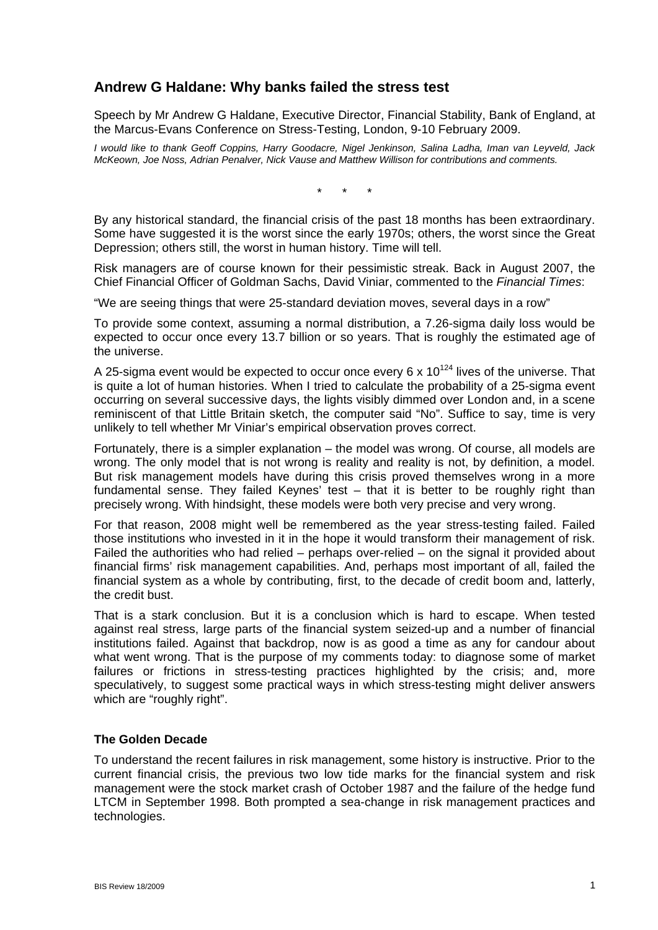# **Andrew G Haldane: Why banks failed the stress test**

Speech by Mr Andrew G Haldane, Executive Director, Financial Stability, Bank of England, at the Marcus-Evans Conference on Stress-Testing, London, 9-10 February 2009.

*I would like to thank Geoff Coppins, Harry Goodacre, Nigel Jenkinson, Salina Ladha, Iman van Leyveld, Jack McKeown, Joe Noss, Adrian Penalver, Nick Vause and Matthew Willison for contributions and comments.* 

\* \* \*

By any historical standard, the financial crisis of the past 18 months has been extraordinary. Some have suggested it is the worst since the early 1970s; others, the worst since the Great Depression; others still, the worst in human history. Time will tell.

Risk managers are of course known for their pessimistic streak. Back in August 2007, the Chief Financial Officer of Goldman Sachs, David Viniar, commented to the *Financial Times*:

"We are seeing things that were 25-standard deviation moves, several days in a row"

To provide some context, assuming a normal distribution, a 7.26-sigma daily loss would be expected to occur once every 13.7 billion or so years. That is roughly the estimated age of the universe.

A 25-sigma event would be expected to occur once every 6 x  $10^{124}$  lives of the universe. That is quite a lot of human histories. When I tried to calculate the probability of a 25-sigma event occurring on several successive days, the lights visibly dimmed over London and, in a scene reminiscent of that Little Britain sketch, the computer said "No". Suffice to say, time is very unlikely to tell whether Mr Viniar's empirical observation proves correct.

Fortunately, there is a simpler explanation – the model was wrong. Of course, all models are wrong. The only model that is not wrong is reality and reality is not, by definition, a model. But risk management models have during this crisis proved themselves wrong in a more fundamental sense. They failed Keynes' test – that it is better to be roughly right than precisely wrong. With hindsight, these models were both very precise and very wrong.

For that reason, 2008 might well be remembered as the year stress-testing failed. Failed those institutions who invested in it in the hope it would transform their management of risk. Failed the authorities who had relied – perhaps over-relied – on the signal it provided about financial firms' risk management capabilities. And, perhaps most important of all, failed the financial system as a whole by contributing, first, to the decade of credit boom and, latterly, the credit bust.

That is a stark conclusion. But it is a conclusion which is hard to escape. When tested against real stress, large parts of the financial system seized-up and a number of financial institutions failed. Against that backdrop, now is as good a time as any for candour about what went wrong. That is the purpose of my comments today: to diagnose some of market failures or frictions in stress-testing practices highlighted by the crisis; and, more speculatively, to suggest some practical ways in which stress-testing might deliver answers which are "roughly right".

## **The Golden Decade**

To understand the recent failures in risk management, some history is instructive. Prior to the current financial crisis, the previous two low tide marks for the financial system and risk management were the stock market crash of October 1987 and the failure of the hedge fund LTCM in September 1998. Both prompted a sea-change in risk management practices and technologies.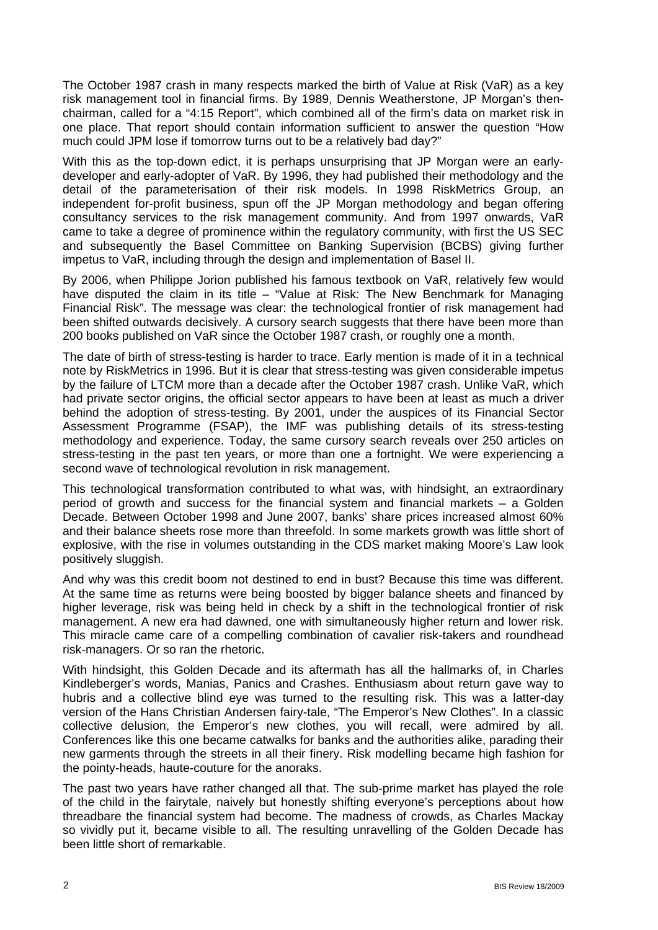The October 1987 crash in many respects marked the birth of Value at Risk (VaR) as a key risk management tool in financial firms. By 1989, Dennis Weatherstone, JP Morgan's thenchairman, called for a "4:15 Report", which combined all of the firm's data on market risk in one place. That report should contain information sufficient to answer the question "How much could JPM lose if tomorrow turns out to be a relatively bad day?"

With this as the top-down edict, it is perhaps unsurprising that JP Morgan were an earlydeveloper and early-adopter of VaR. By 1996, they had published their methodology and the detail of the parameterisation of their risk models. In 1998 RiskMetrics Group, an independent for-profit business, spun off the JP Morgan methodology and began offering consultancy services to the risk management community. And from 1997 onwards, VaR came to take a degree of prominence within the regulatory community, with first the US SEC and subsequently the Basel Committee on Banking Supervision (BCBS) giving further impetus to VaR, including through the design and implementation of Basel II.

By 2006, when Philippe Jorion published his famous textbook on VaR, relatively few would have disputed the claim in its title – "Value at Risk: The New Benchmark for Managing Financial Risk". The message was clear: the technological frontier of risk management had been shifted outwards decisively. A cursory search suggests that there have been more than 200 books published on VaR since the October 1987 crash, or roughly one a month.

The date of birth of stress-testing is harder to trace. Early mention is made of it in a technical note by RiskMetrics in 1996. But it is clear that stress-testing was given considerable impetus by the failure of LTCM more than a decade after the October 1987 crash. Unlike VaR, which had private sector origins, the official sector appears to have been at least as much a driver behind the adoption of stress-testing. By 2001, under the auspices of its Financial Sector Assessment Programme (FSAP), the IMF was publishing details of its stress-testing methodology and experience. Today, the same cursory search reveals over 250 articles on stress-testing in the past ten years, or more than one a fortnight. We were experiencing a second wave of technological revolution in risk management.

This technological transformation contributed to what was, with hindsight, an extraordinary period of growth and success for the financial system and financial markets – a Golden Decade. Between October 1998 and June 2007, banks' share prices increased almost 60% and their balance sheets rose more than threefold. In some markets growth was little short of explosive, with the rise in volumes outstanding in the CDS market making Moore's Law look positively sluggish.

And why was this credit boom not destined to end in bust? Because this time was different. At the same time as returns were being boosted by bigger balance sheets and financed by higher leverage, risk was being held in check by a shift in the technological frontier of risk management. A new era had dawned, one with simultaneously higher return and lower risk. This miracle came care of a compelling combination of cavalier risk-takers and roundhead risk-managers. Or so ran the rhetoric.

With hindsight, this Golden Decade and its aftermath has all the hallmarks of, in Charles Kindleberger's words, Manias, Panics and Crashes. Enthusiasm about return gave way to hubris and a collective blind eye was turned to the resulting risk. This was a latter-day version of the Hans Christian Andersen fairy-tale, "The Emperor's New Clothes". In a classic collective delusion, the Emperor's new clothes, you will recall, were admired by all. Conferences like this one became catwalks for banks and the authorities alike, parading their new garments through the streets in all their finery. Risk modelling became high fashion for the pointy-heads, haute-couture for the anoraks.

The past two years have rather changed all that. The sub-prime market has played the role of the child in the fairytale, naively but honestly shifting everyone's perceptions about how threadbare the financial system had become. The madness of crowds, as Charles Mackay so vividly put it, became visible to all. The resulting unravelling of the Golden Decade has been little short of remarkable.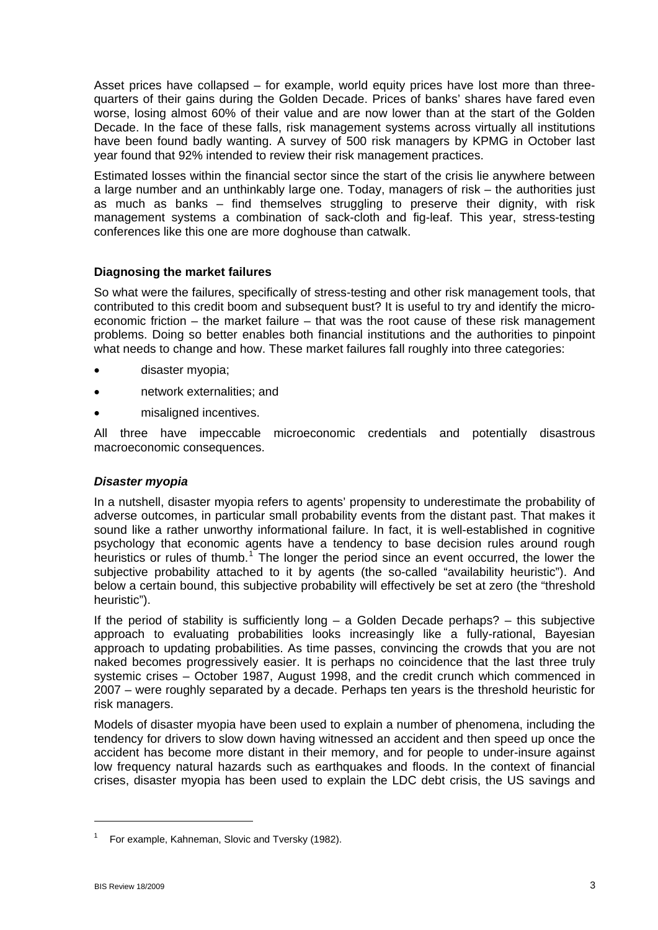Asset prices have collapsed – for example, world equity prices have lost more than threequarters of their gains during the Golden Decade. Prices of banks' shares have fared even worse, losing almost 60% of their value and are now lower than at the start of the Golden Decade. In the face of these falls, risk management systems across virtually all institutions have been found badly wanting. A survey of 500 risk managers by KPMG in October last year found that 92% intended to review their risk management practices.

Estimated losses within the financial sector since the start of the crisis lie anywhere between a large number and an unthinkably large one. Today, managers of risk – the authorities just as much as banks – find themselves struggling to preserve their dignity, with risk management systems a combination of sack-cloth and fig-leaf. This year, stress-testing conferences like this one are more doghouse than catwalk.

## **Diagnosing the market failures**

So what were the failures, specifically of stress-testing and other risk management tools, that contributed to this credit boom and subsequent bust? It is useful to try and identify the microeconomic friction – the market failure – that was the root cause of these risk management problems. Doing so better enables both financial institutions and the authorities to pinpoint what needs to change and how. These market failures fall roughly into three categories:

- disaster myopia;
- network externalities; and
- misaligned incentives.

All three have impeccable microeconomic credentials and potentially disastrous macroeconomic consequences.

## *Disaster myopia*

In a nutshell, disaster myopia refers to agents' propensity to underestimate the probability of adverse outcomes, in particular small probability events from the distant past. That makes it sound like a rather unworthy informational failure. In fact, it is well-established in cognitive psychology that economic agents have a tendency to base decision rules around rough heuristics or rules of thumb.<sup>[1](#page-2-0)</sup> The longer the period since an event occurred, the lower the subjective probability attached to it by agents (the so-called "availability heuristic"). And below a certain bound, this subjective probability will effectively be set at zero (the "threshold heuristic").

If the period of stability is sufficiently long – a Golden Decade perhaps? – this subjective approach to evaluating probabilities looks increasingly like a fully-rational, Bayesian approach to updating probabilities. As time passes, convincing the crowds that you are not naked becomes progressively easier. It is perhaps no coincidence that the last three truly systemic crises – October 1987, August 1998, and the credit crunch which commenced in 2007 – were roughly separated by a decade. Perhaps ten years is the threshold heuristic for risk managers.

Models of disaster myopia have been used to explain a number of phenomena, including the tendency for drivers to slow down having witnessed an accident and then speed up once the accident has become more distant in their memory, and for people to under-insure against low frequency natural hazards such as earthquakes and floods. In the context of financial crises, disaster myopia has been used to explain the LDC debt crisis, the US savings and

-

<span id="page-2-0"></span><sup>1</sup> For example, Kahneman, Slovic and Tversky (1982).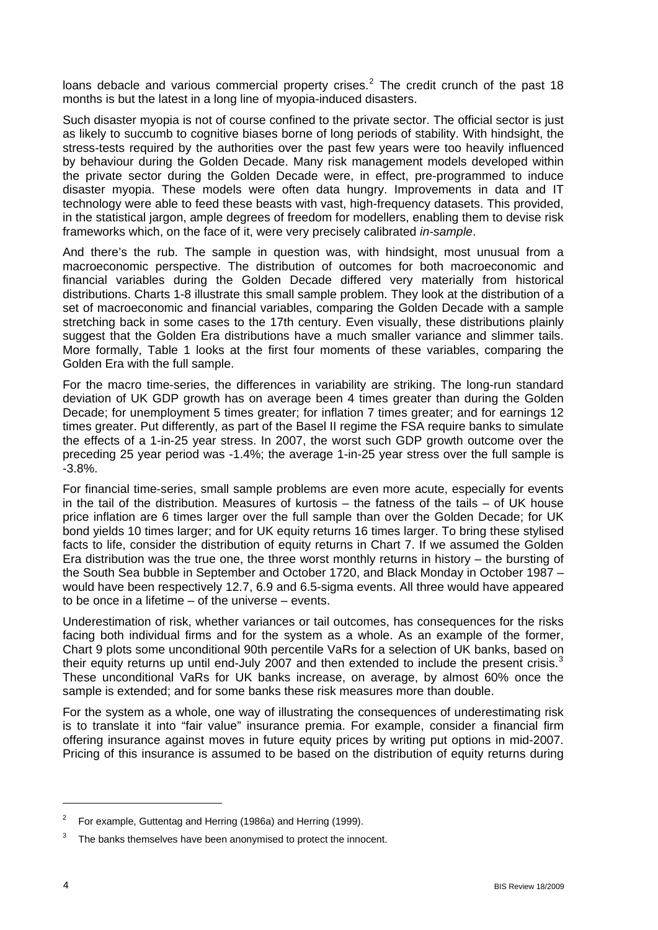loans debacle and various commercial property crises.<sup>[2](#page-3-0)</sup> The credit crunch of the past 18 months is but the latest in a long line of myopia-induced disasters.

Such disaster myopia is not of course confined to the private sector. The official sector is just as likely to succumb to cognitive biases borne of long periods of stability. With hindsight, the stress-tests required by the authorities over the past few years were too heavily influenced by behaviour during the Golden Decade. Many risk management models developed within the private sector during the Golden Decade were, in effect, pre-programmed to induce disaster myopia. These models were often data hungry. Improvements in data and IT technology were able to feed these beasts with vast, high-frequency datasets. This provided, in the statistical jargon, ample degrees of freedom for modellers, enabling them to devise risk frameworks which, on the face of it, were very precisely calibrated *in-sample*.

And there's the rub. The sample in question was, with hindsight, most unusual from a macroeconomic perspective. The distribution of outcomes for both macroeconomic and financial variables during the Golden Decade differed very materially from historical distributions. Charts 1-8 illustrate this small sample problem. They look at the distribution of a set of macroeconomic and financial variables, comparing the Golden Decade with a sample stretching back in some cases to the 17th century. Even visually, these distributions plainly suggest that the Golden Era distributions have a much smaller variance and slimmer tails. More formally, Table 1 looks at the first four moments of these variables, comparing the Golden Era with the full sample.

For the macro time-series, the differences in variability are striking. The long-run standard deviation of UK GDP growth has on average been 4 times greater than during the Golden Decade; for unemployment 5 times greater; for inflation 7 times greater; and for earnings 12 times greater. Put differently, as part of the Basel II regime the FSA require banks to simulate the effects of a 1-in-25 year stress. In 2007, the worst such GDP growth outcome over the preceding 25 year period was -1.4%; the average 1-in-25 year stress over the full sample is -3.8%.

For financial time-series, small sample problems are even more acute, especially for events in the tail of the distribution. Measures of kurtosis – the fatness of the tails – of UK house price inflation are 6 times larger over the full sample than over the Golden Decade; for UK bond yields 10 times larger; and for UK equity returns 16 times larger. To bring these stylised facts to life, consider the distribution of equity returns in Chart 7. If we assumed the Golden Era distribution was the true one, the three worst monthly returns in history – the bursting of the South Sea bubble in September and October 1720, and Black Monday in October 1987 – would have been respectively 12.7, 6.9 and 6.5-sigma events. All three would have appeared to be once in a lifetime – of the universe – events.

Underestimation of risk, whether variances or tail outcomes, has consequences for the risks facing both individual firms and for the system as a whole. As an example of the former, Chart 9 plots some unconditional 90th percentile VaRs for a selection of UK banks, based on their equity returns up until end-July 2007 and then extended to include the present crisis. $3$ These unconditional VaRs for UK banks increase, on average, by almost 60% once the sample is extended; and for some banks these risk measures more than double.

For the system as a whole, one way of illustrating the consequences of underestimating risk is to translate it into "fair value" insurance premia. For example, consider a financial firm offering insurance against moves in future equity prices by writing put options in mid-2007. Pricing of this insurance is assumed to be based on the distribution of equity returns during

<span id="page-3-0"></span><sup>&</sup>lt;sup>2</sup> For example, Guttentag and Herring (1986a) and Herring (1999).

<span id="page-3-1"></span><sup>3</sup> The banks themselves have been anonymised to protect the innocent.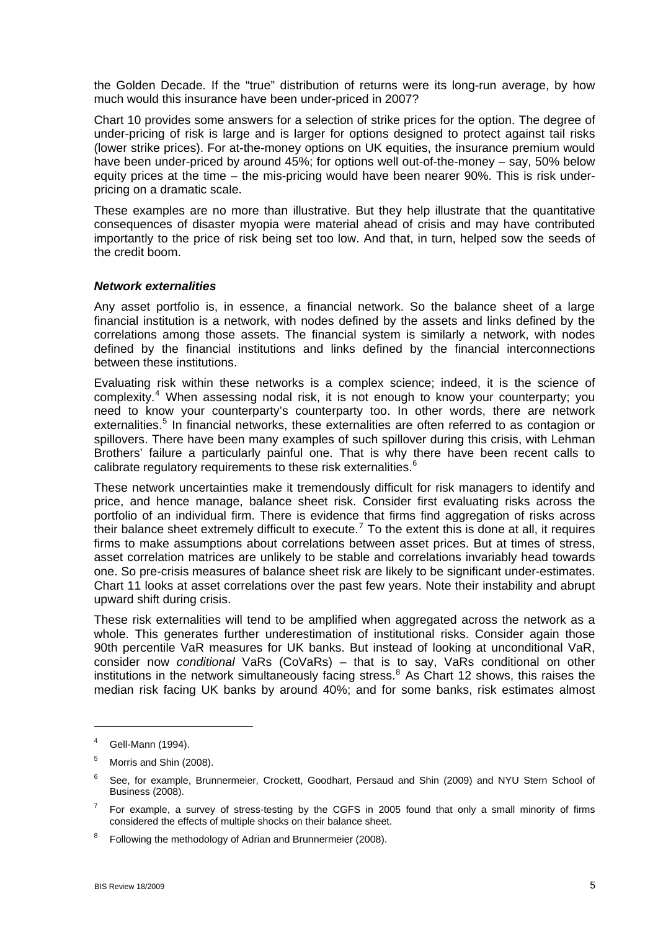the Golden Decade. If the "true" distribution of returns were its long-run average, by how much would this insurance have been under-priced in 2007?

Chart 10 provides some answers for a selection of strike prices for the option. The degree of under-pricing of risk is large and is larger for options designed to protect against tail risks (lower strike prices). For at-the-money options on UK equities, the insurance premium would have been under-priced by around 45%; for options well out-of-the-money – say, 50% below equity prices at the time – the mis-pricing would have been nearer 90%. This is risk underpricing on a dramatic scale.

These examples are no more than illustrative. But they help illustrate that the quantitative consequences of disaster myopia were material ahead of crisis and may have contributed importantly to the price of risk being set too low. And that, in turn, helped sow the seeds of the credit boom.

#### *Network externalities*

Any asset portfolio is, in essence, a financial network. So the balance sheet of a large financial institution is a network, with nodes defined by the assets and links defined by the correlations among those assets. The financial system is similarly a network, with nodes defined by the financial institutions and links defined by the financial interconnections between these institutions.

Evaluating risk within these networks is a complex science; indeed, it is the science of complexity.<sup>[4](#page-4-0)</sup> When assessing nodal risk, it is not enough to know your counterparty; you need to know your counterparty's counterparty too. In other words, there are network externalities.<sup>[5](#page-4-1)</sup> In financial networks, these externalities are often referred to as contagion or spillovers. There have been many examples of such spillover during this crisis, with Lehman Brothers' failure a particularly painful one. That is why there have been recent calls to calibrate regulatory requirements to these risk externalities. $6$ 

These network uncertainties make it tremendously difficult for risk managers to identify and price, and hence manage, balance sheet risk. Consider first evaluating risks across the portfolio of an individual firm. There is evidence that firms find aggregation of risks across their balance sheet extremely difficult to execute.<sup>[7](#page-4-3)</sup> To the extent this is done at all, it requires firms to make assumptions about correlations between asset prices. But at times of stress, asset correlation matrices are unlikely to be stable and correlations invariably head towards one. So pre-crisis measures of balance sheet risk are likely to be significant under-estimates. Chart 11 looks at asset correlations over the past few years. Note their instability and abrupt upward shift during crisis.

These risk externalities will tend to be amplified when aggregated across the network as a whole. This generates further underestimation of institutional risks. Consider again those 90th percentile VaR measures for UK banks. But instead of looking at unconditional VaR, consider now *conditional* VaRs (CoVaRs) – that is to say, VaRs conditional on other institutions in the network simultaneously facing stress.<sup>[8](#page-4-4)</sup> As Chart 12 shows, this raises the median risk facing UK banks by around 40%; and for some banks, risk estimates almost

<span id="page-4-0"></span><sup>4</sup> Gell-Mann (1994).

<span id="page-4-1"></span><sup>5</sup> Morris and Shin (2008).

<span id="page-4-2"></span><sup>6</sup> See, for example, Brunnermeier, Crockett, Goodhart, Persaud and Shin (2009) and NYU Stern School of Business (2008).

<span id="page-4-3"></span><sup>7</sup> For example, a survey of stress-testing by the CGFS in 2005 found that only a small minority of firms considered the effects of multiple shocks on their balance sheet.

<span id="page-4-4"></span><sup>8</sup> Following the methodology of Adrian and Brunnermeier (2008).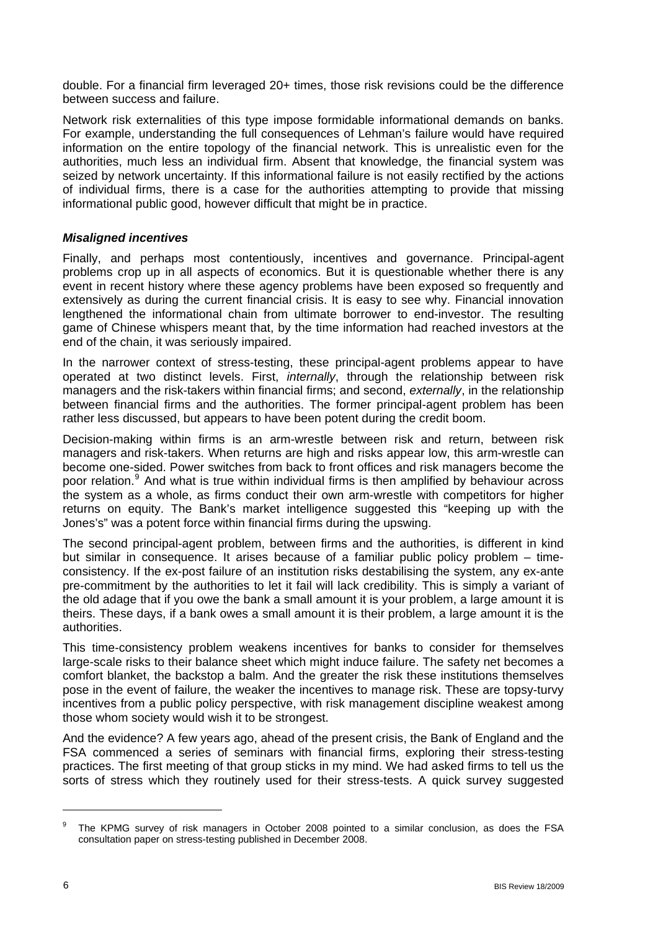double. For a financial firm leveraged 20+ times, those risk revisions could be the difference between success and failure.

Network risk externalities of this type impose formidable informational demands on banks. For example, understanding the full consequences of Lehman's failure would have required information on the entire topology of the financial network. This is unrealistic even for the authorities, much less an individual firm. Absent that knowledge, the financial system was seized by network uncertainty. If this informational failure is not easily rectified by the actions of individual firms, there is a case for the authorities attempting to provide that missing informational public good, however difficult that might be in practice.

## *Misaligned incentives*

Finally, and perhaps most contentiously, incentives and governance. Principal-agent problems crop up in all aspects of economics. But it is questionable whether there is any event in recent history where these agency problems have been exposed so frequently and extensively as during the current financial crisis. It is easy to see why. Financial innovation lengthened the informational chain from ultimate borrower to end-investor. The resulting game of Chinese whispers meant that, by the time information had reached investors at the end of the chain, it was seriously impaired.

In the narrower context of stress-testing, these principal-agent problems appear to have operated at two distinct levels. First, *internally*, through the relationship between risk managers and the risk-takers within financial firms; and second, *externally*, in the relationship between financial firms and the authorities. The former principal-agent problem has been rather less discussed, but appears to have been potent during the credit boom.

Decision-making within firms is an arm-wrestle between risk and return, between risk managers and risk-takers. When returns are high and risks appear low, this arm-wrestle can become one-sided. Power switches from back to front offices and risk managers become the poor relation.<sup>[9](#page-5-0)</sup> And what is true within individual firms is then amplified by behaviour across the system as a whole, as firms conduct their own arm-wrestle with competitors for higher returns on equity. The Bank's market intelligence suggested this "keeping up with the Jones's" was a potent force within financial firms during the upswing.

The second principal-agent problem, between firms and the authorities, is different in kind but similar in consequence. It arises because of a familiar public policy problem – timeconsistency. If the ex-post failure of an institution risks destabilising the system, any ex-ante pre-commitment by the authorities to let it fail will lack credibility. This is simply a variant of the old adage that if you owe the bank a small amount it is your problem, a large amount it is theirs. These days, if a bank owes a small amount it is their problem, a large amount it is the authorities.

This time-consistency problem weakens incentives for banks to consider for themselves large-scale risks to their balance sheet which might induce failure. The safety net becomes a comfort blanket, the backstop a balm. And the greater the risk these institutions themselves pose in the event of failure, the weaker the incentives to manage risk. These are topsy-turvy incentives from a public policy perspective, with risk management discipline weakest among those whom society would wish it to be strongest.

And the evidence? A few years ago, ahead of the present crisis, the Bank of England and the FSA commenced a series of seminars with financial firms, exploring their stress-testing practices. The first meeting of that group sticks in my mind. We had asked firms to tell us the sorts of stress which they routinely used for their stress-tests. A quick survey suggested

<span id="page-5-0"></span><sup>9</sup> The KPMG survey of risk managers in October 2008 pointed to a similar conclusion, as does the FSA consultation paper on stress-testing published in December 2008.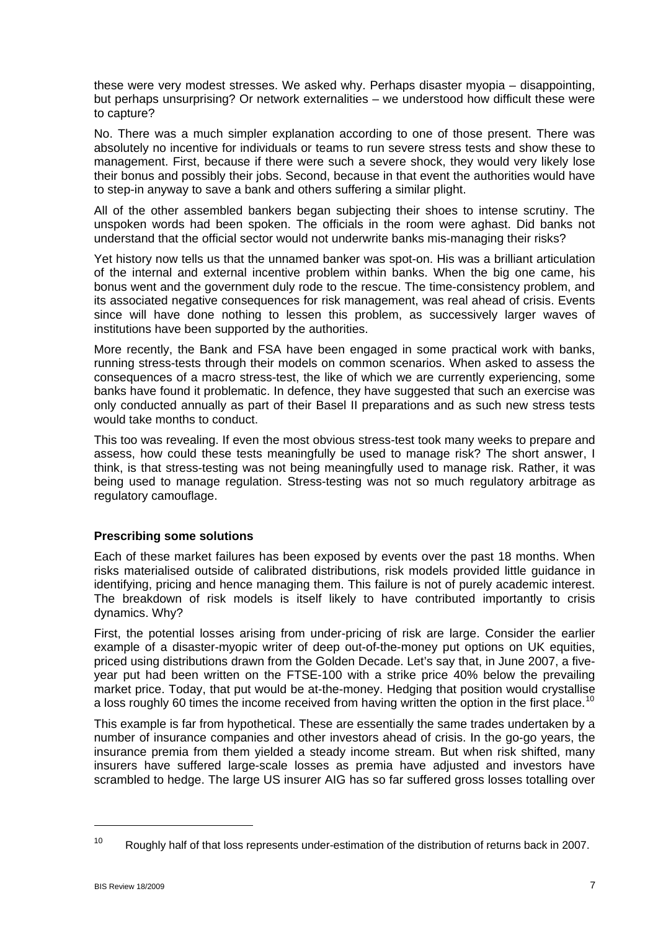these were very modest stresses. We asked why. Perhaps disaster myopia – disappointing, but perhaps unsurprising? Or network externalities – we understood how difficult these were to capture?

No. There was a much simpler explanation according to one of those present. There was absolutely no incentive for individuals or teams to run severe stress tests and show these to management. First, because if there were such a severe shock, they would very likely lose their bonus and possibly their jobs. Second, because in that event the authorities would have to step-in anyway to save a bank and others suffering a similar plight.

All of the other assembled bankers began subjecting their shoes to intense scrutiny. The unspoken words had been spoken. The officials in the room were aghast. Did banks not understand that the official sector would not underwrite banks mis-managing their risks?

Yet history now tells us that the unnamed banker was spot-on. His was a brilliant articulation of the internal and external incentive problem within banks. When the big one came, his bonus went and the government duly rode to the rescue. The time-consistency problem, and its associated negative consequences for risk management, was real ahead of crisis. Events since will have done nothing to lessen this problem, as successively larger waves of institutions have been supported by the authorities.

More recently, the Bank and FSA have been engaged in some practical work with banks, running stress-tests through their models on common scenarios. When asked to assess the consequences of a macro stress-test, the like of which we are currently experiencing, some banks have found it problematic. In defence, they have suggested that such an exercise was only conducted annually as part of their Basel II preparations and as such new stress tests would take months to conduct.

This too was revealing. If even the most obvious stress-test took many weeks to prepare and assess, how could these tests meaningfully be used to manage risk? The short answer, I think, is that stress-testing was not being meaningfully used to manage risk. Rather, it was being used to manage regulation. Stress-testing was not so much regulatory arbitrage as regulatory camouflage.

## **Prescribing some solutions**

Each of these market failures has been exposed by events over the past 18 months. When risks materialised outside of calibrated distributions, risk models provided little guidance in identifying, pricing and hence managing them. This failure is not of purely academic interest. The breakdown of risk models is itself likely to have contributed importantly to crisis dynamics. Why?

First, the potential losses arising from under-pricing of risk are large. Consider the earlier example of a disaster-myopic writer of deep out-of-the-money put options on UK equities, priced using distributions drawn from the Golden Decade. Let's say that, in June 2007, a fiveyear put had been written on the FTSE-100 with a strike price 40% below the prevailing market price. Today, that put would be at-the-money. Hedging that position would crystallise a loss roughly 60 times the income received from having written the option in the first place.<sup>[10](#page-6-0)</sup>

This example is far from hypothetical. These are essentially the same trades undertaken by a number of insurance companies and other investors ahead of crisis. In the go-go years, the insurance premia from them yielded a steady income stream. But when risk shifted, many insurers have suffered large-scale losses as premia have adjusted and investors have scrambled to hedge. The large US insurer AIG has so far suffered gross losses totalling over

-

<span id="page-6-0"></span><sup>&</sup>lt;sup>10</sup> Roughly half of that loss represents under-estimation of the distribution of returns back in 2007.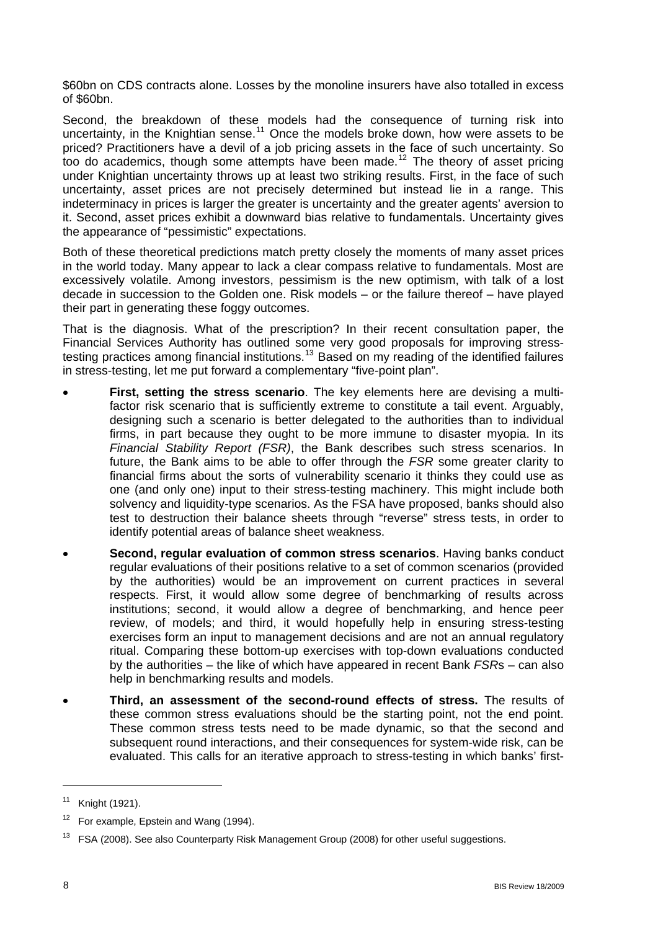\$60bn on CDS contracts alone. Losses by the monoline insurers have also totalled in excess of \$60bn.

Second, the breakdown of these models had the consequence of turning risk into uncertainty, in the Knightian sense.<sup>[11](#page-7-0)</sup> Once the models broke down, how were assets to be priced? Practitioners have a devil of a job pricing assets in the face of such uncertainty. So too do academics, though some attempts have been made.<sup>[12](#page-7-1)</sup> The theory of asset pricing under Knightian uncertainty throws up at least two striking results. First, in the face of such uncertainty, asset prices are not precisely determined but instead lie in a range. This indeterminacy in prices is larger the greater is uncertainty and the greater agents' aversion to it. Second, asset prices exhibit a downward bias relative to fundamentals. Uncertainty gives the appearance of "pessimistic" expectations.

Both of these theoretical predictions match pretty closely the moments of many asset prices in the world today. Many appear to lack a clear compass relative to fundamentals. Most are excessively volatile. Among investors, pessimism is the new optimism, with talk of a lost decade in succession to the Golden one. Risk models – or the failure thereof – have played their part in generating these foggy outcomes.

That is the diagnosis. What of the prescription? In their recent consultation paper, the Financial Services Authority has outlined some very good proposals for improving stress-testing practices among financial institutions.<sup>[13](#page-7-2)</sup> Based on my reading of the identified failures in stress-testing, let me put forward a complementary "five-point plan".

- **First, setting the stress scenario**. The key elements here are devising a multifactor risk scenario that is sufficiently extreme to constitute a tail event. Arguably, designing such a scenario is better delegated to the authorities than to individual firms, in part because they ought to be more immune to disaster myopia. In its *Financial Stability Report (FSR)*, the Bank describes such stress scenarios. In future, the Bank aims to be able to offer through the *FSR* some greater clarity to financial firms about the sorts of vulnerability scenario it thinks they could use as one (and only one) input to their stress-testing machinery. This might include both solvency and liquidity-type scenarios. As the FSA have proposed, banks should also test to destruction their balance sheets through "reverse" stress tests, in order to identify potential areas of balance sheet weakness.
- **Second, regular evaluation of common stress scenarios**. Having banks conduct regular evaluations of their positions relative to a set of common scenarios (provided by the authorities) would be an improvement on current practices in several respects. First, it would allow some degree of benchmarking of results across institutions; second, it would allow a degree of benchmarking, and hence peer review, of models; and third, it would hopefully help in ensuring stress-testing exercises form an input to management decisions and are not an annual regulatory ritual. Comparing these bottom-up exercises with top-down evaluations conducted by the authorities – the like of which have appeared in recent Bank *FSR*s – can also help in benchmarking results and models.
- **Third, an assessment of the second-round effects of stress.** The results of these common stress evaluations should be the starting point, not the end point. These common stress tests need to be made dynamic, so that the second and subsequent round interactions, and their consequences for system-wide risk, can be evaluated. This calls for an iterative approach to stress-testing in which banks' first-

<span id="page-7-0"></span><sup>11</sup> Knight (1921).

<span id="page-7-1"></span> $12$  For example, Epstein and Wang (1994).

<span id="page-7-2"></span><sup>&</sup>lt;sup>13</sup> FSA (2008). See also Counterparty Risk Management Group (2008) for other useful suggestions.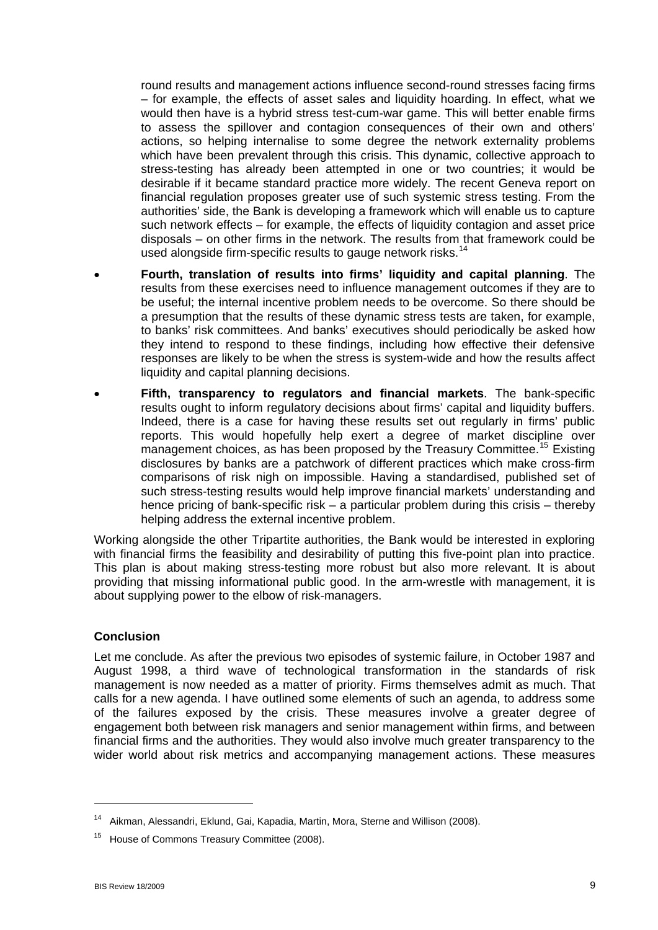round results and management actions influence second-round stresses facing firms – for example, the effects of asset sales and liquidity hoarding. In effect, what we would then have is a hybrid stress test-cum-war game. This will better enable firms to assess the spillover and contagion consequences of their own and others' actions, so helping internalise to some degree the network externality problems which have been prevalent through this crisis. This dynamic, collective approach to stress-testing has already been attempted in one or two countries; it would be desirable if it became standard practice more widely. The recent Geneva report on financial regulation proposes greater use of such systemic stress testing. From the authorities' side, the Bank is developing a framework which will enable us to capture such network effects – for example, the effects of liquidity contagion and asset price disposals – on other firms in the network. The results from that framework could be used alongside firm-specific results to gauge network risks.<sup>[14](#page-8-0)</sup>

- **Fourth, translation of results into firms' liquidity and capital planning**. The results from these exercises need to influence management outcomes if they are to be useful; the internal incentive problem needs to be overcome. So there should be a presumption that the results of these dynamic stress tests are taken, for example, to banks' risk committees. And banks' executives should periodically be asked how they intend to respond to these findings, including how effective their defensive responses are likely to be when the stress is system-wide and how the results affect liquidity and capital planning decisions.
- **Fifth, transparency to regulators and financial markets**. The bank-specific results ought to inform regulatory decisions about firms' capital and liquidity buffers. Indeed, there is a case for having these results set out regularly in firms' public reports. This would hopefully help exert a degree of market discipline over management choices, as has been proposed by the Treasury Committee.<sup>[15](#page-8-1)</sup> Existing disclosures by banks are a patchwork of different practices which make cross-firm comparisons of risk nigh on impossible. Having a standardised, published set of such stress-testing results would help improve financial markets' understanding and hence pricing of bank-specific risk – a particular problem during this crisis – thereby helping address the external incentive problem.

Working alongside the other Tripartite authorities, the Bank would be interested in exploring with financial firms the feasibility and desirability of putting this five-point plan into practice. This plan is about making stress-testing more robust but also more relevant. It is about providing that missing informational public good. In the arm-wrestle with management, it is about supplying power to the elbow of risk-managers.

## **Conclusion**

Let me conclude. As after the previous two episodes of systemic failure, in October 1987 and August 1998, a third wave of technological transformation in the standards of risk management is now needed as a matter of priority. Firms themselves admit as much. That calls for a new agenda. I have outlined some elements of such an agenda, to address some of the failures exposed by the crisis. These measures involve a greater degree of engagement both between risk managers and senior management within firms, and between financial firms and the authorities. They would also involve much greater transparency to the wider world about risk metrics and accompanying management actions. These measures

<span id="page-8-0"></span>Aikman, Alessandri, Eklund, Gai, Kapadia, Martin, Mora, Sterne and Willison (2008).

<span id="page-8-1"></span>House of Commons Treasury Committee (2008).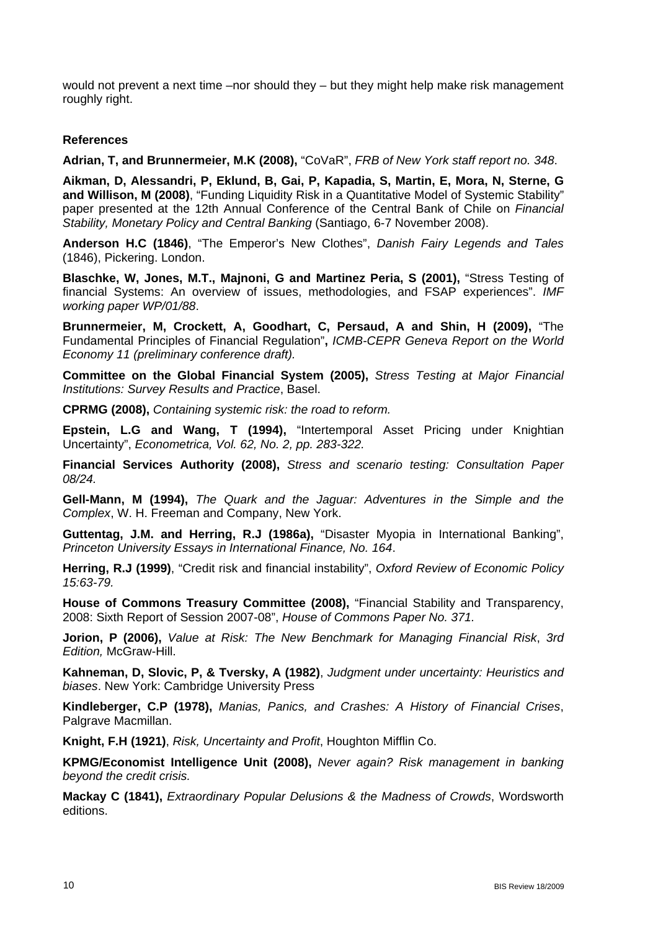would not prevent a next time –nor should they – but they might help make risk management roughly right.

### **References**

**Adrian, T, and Brunnermeier, M.K (2008),** "CoVaR", *FRB of New York staff report no. 348*.

**Aikman, D, Alessandri, P, Eklund, B, Gai, P, Kapadia, S, Martin, E, Mora, N, Sterne, G and Willison, M (2008)**, "Funding Liquidity Risk in a Quantitative Model of Systemic Stability" paper presented at the 12th Annual Conference of the Central Bank of Chile on *Financial Stability, Monetary Policy and Central Banking* (Santiago, 6-7 November 2008).

**Anderson H.C (1846)**, "The Emperor's New Clothes", *Danish Fairy Legends and Tales* (1846), Pickering. London.

**Blaschke, W, Jones, M.T., Majnoni, G and Martinez Peria, S (2001),** "Stress Testing of financial Systems: An overview of issues, methodologies, and FSAP experiences". *IMF working paper WP/01/88*.

**Brunnermeier, M, Crockett, A, Goodhart, C, Persaud, A and Shin, H (2009),** "The Fundamental Principles of Financial Regulation"**,** *ICMB-CEPR Geneva Report on the World Economy 11 (preliminary conference draft).* 

**Committee on the Global Financial System (2005),** *Stress Testing at Major Financial Institutions: Survey Results and Practice*, Basel.

**CPRMG (2008),** *Containing systemic risk: the road to reform.* 

**Epstein, L.G and Wang, T (1994),** "Intertemporal Asset Pricing under Knightian Uncertainty", *Econometrica, Vol. 62, No. 2, pp. 283-322.* 

**Financial Services Authority (2008),** *Stress and scenario testing: Consultation Paper 08/24.* 

**Gell-Mann, M (1994),** *The Quark and the Jaguar: Adventures in the Simple and the Complex*, W. H. Freeman and Company, New York.

**Guttentag, J.M. and Herring, R.J (1986a),** "Disaster Myopia in International Banking", *Princeton University Essays in International Finance, No. 164*.

**Herring, R.J (1999)**, "Credit risk and financial instability", *Oxford Review of Economic Policy 15:63-79.*

**House of Commons Treasury Committee (2008),** "Financial Stability and Transparency, 2008: Sixth Report of Session 2007-08", *House of Commons Paper No. 371.* 

**Jorion, P (2006),** *Value at Risk: The New Benchmark for Managing Financial Risk*, *3rd Edition,* McGraw-Hill.

**Kahneman, D, Slovic, P, & Tversky, A (1982)**, *Judgment under uncertainty: Heuristics and biases*. New York: Cambridge University Press

**Kindleberger, C.P (1978),** *Manias, Panics, and Crashes: A History of Financial Crises*, Palgrave Macmillan.

**Knight, F.H (1921)**, *Risk, Uncertainty and Profit*, Houghton Mifflin Co.

**KPMG/Economist Intelligence Unit (2008),** *Never again? Risk management in banking beyond the credit crisis.* 

**Mackay C (1841),** *Extraordinary Popular Delusions & the Madness of Crowds*, Wordsworth editions.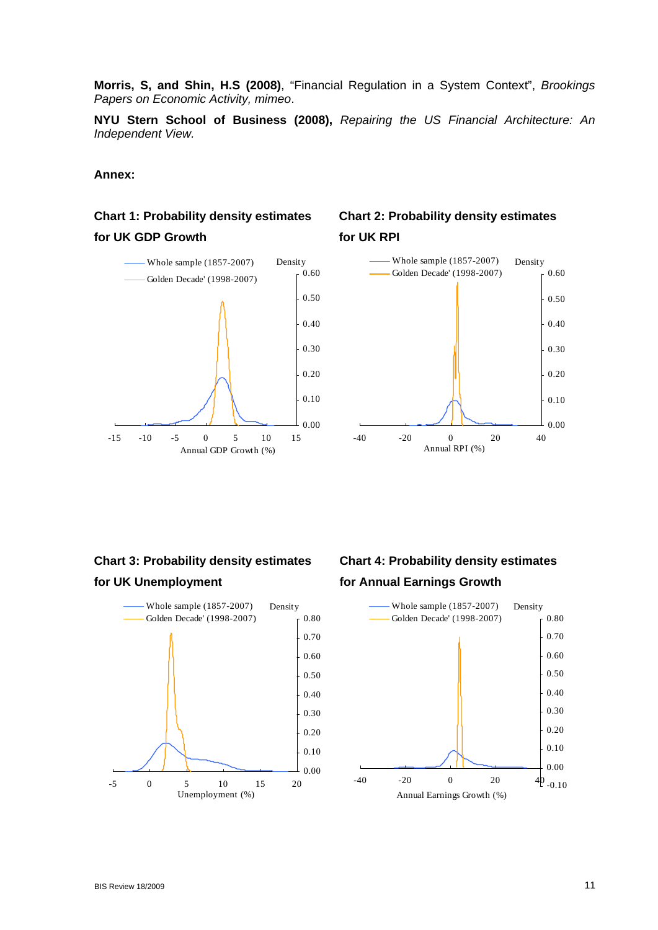**Morris, S, and Shin, H.S (2008)**, "Financial Regulation in a System Context", *Brookings Papers on Economic Activity, mimeo*.

**NYU Stern School of Business (2008),** *Repairing the US Financial Architecture: An Independent View.*

#### **Annex:**

# **Chart 1: Probability density estimates for UK GDP Growth**



# **Chart 2: Probability density estimates for UK RPI**



# **Chart 3: Probability density estimates for UK Unemployment**



# **Chart 4: Probability density estimates for Annual Earnings Growth**

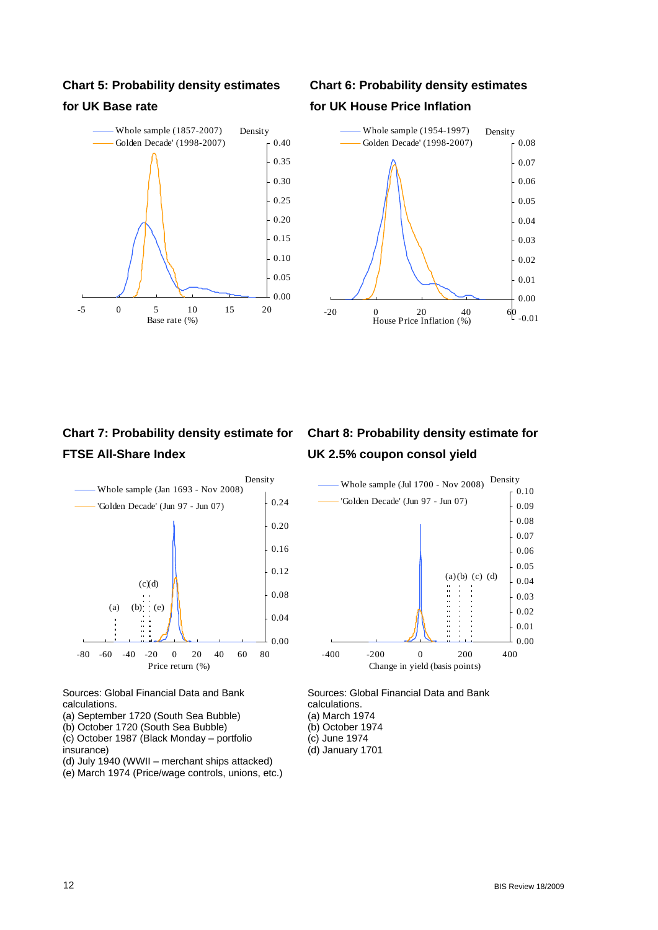#### **Chart 5: Probability density estimates**

#### **for UK Base rate**



# **Chart 6: Probability density estimates for UK House Price Inflation**



# **Chart 7: Probability density estimate for FTSE All-Share Index**



Sources: Global Financial Data and Bank calculations.

- (a) September 1720 (South Sea Bubble)
- (b) October 1720 (South Sea Bubble)
- (c) October 1987 (Black Monday portfolio
- insurance)
- (d) July 1940 (WWII merchant ships attacked)
- (e) March 1974 (Price/wage controls, unions, etc.)

# **Chart 8: Probability density estimate for UK 2.5% coupon consol yield**



Sources: Global Financial Data and Bank calculations. (a) March 1974 (b) October 1974

- (c) June 1974
- (d) January 1701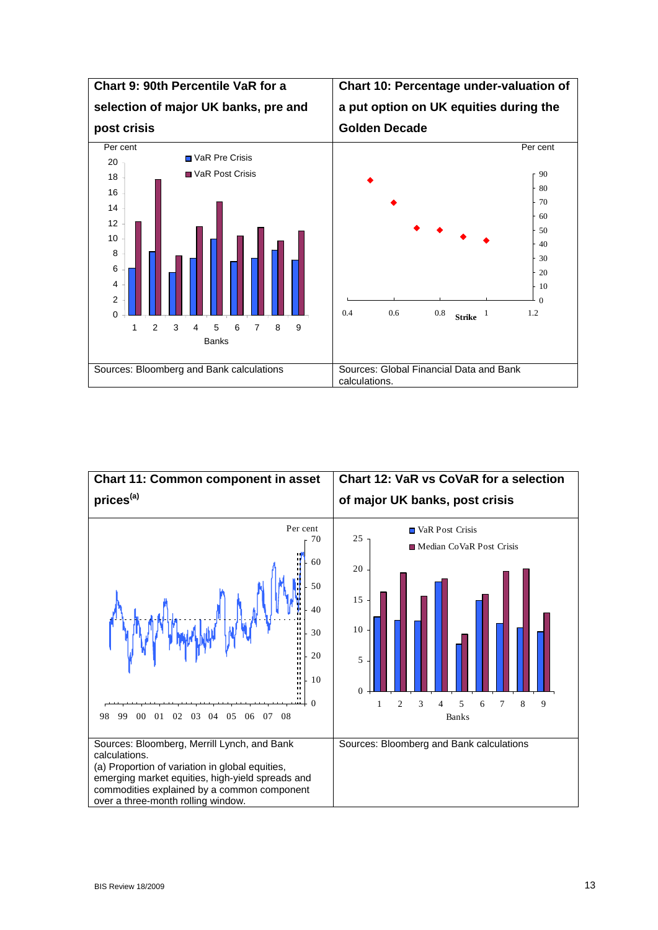